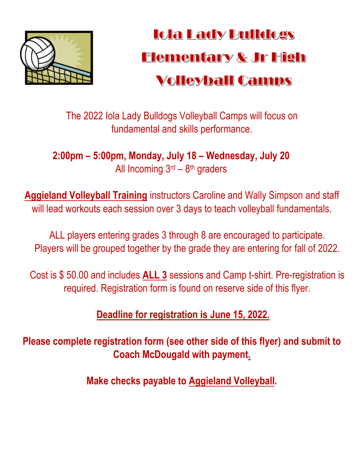

## **Iola Lady Bulldogs** Elementary & Jr High Volleyball Camps

The 2022 Iola Lady Bulldogs Volleyball Camps will focus on fundamental and skills performance.

**2:00pm – 5:00pm, Monday, July 18 – Wednesday, July 20** All Incoming  $3<sup>rd</sup> - 8<sup>th</sup>$  graders

**Aggieland Volleyball Training** instructors Caroline and Wally Simpson and staff will lead workouts each session over 3 days to teach volleyball fundamentals.

ALL players entering grades 3 through 8 are encouraged to participate. Players will be grouped together by the grade they are entering for fall of 2022.

Cost is \$ 50.00 and includes **ALL 3** sessions and Camp t-shirt. Pre-registration is required. Registration form is found on reserve side of this flyer.

**Deadline for registration is June 15, 2022.** 

**Please complete registration form (see other side of this flyer) and submit to Coach McDougald with payment.** 

**Make checks payable to Aggieland Volleyball***.*